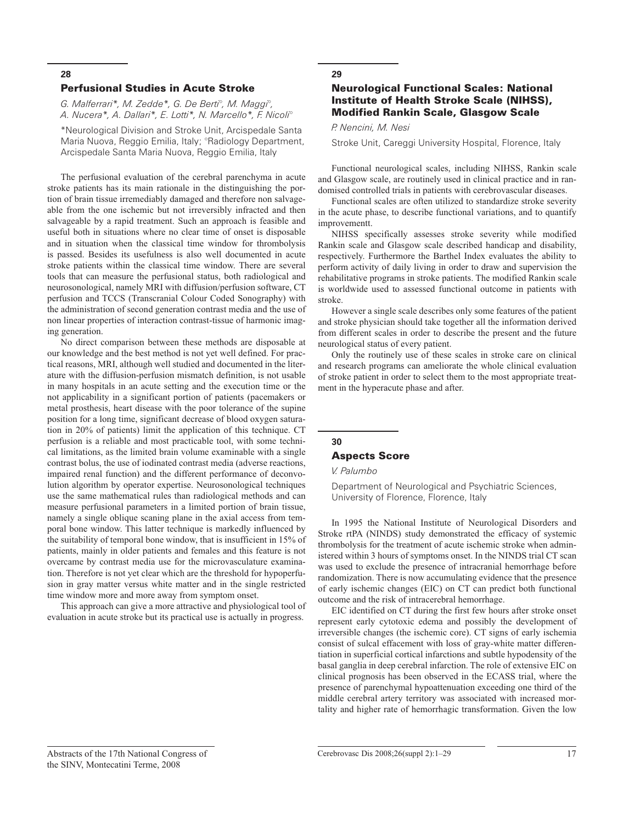#### Perfusional Studies in Acute Stroke

*G. Malferrari\*, M. Zedde\*, G. De Berti°, M. Maggi°, A. Nucera\*, A. Dallari\*, E. Lotti\*, N. Marcello\*, F. Nicoli°*

\*Neurological Division and Stroke Unit, Arcispedale Santa Maria Nuova, Reggio Emilia, Italy; °Radiology Department, Arcispedale Santa Maria Nuova, Reggio Emilia, Italy

The perfusional evaluation of the cerebral parenchyma in acute stroke patients has its main rationale in the distinguishing the portion of brain tissue irremediably damaged and therefore non salvageable from the one ischemic but not irreversibly infracted and then salvageable by a rapid treatment. Such an approach is feasible and useful both in situations where no clear time of onset is disposable and in situation when the classical time window for thrombolysis is passed. Besides its usefulness is also well documented in acute stroke patients within the classical time window. There are several tools that can measure the perfusional status, both radiological and neurosonological, namely MRI with diffusion/perfusion software, CT perfusion and TCCS (Transcranial Colour Coded Sonography) with the administration of second generation contrast media and the use of non linear properties of interaction contrast-tissue of harmonic imaging generation.

No direct comparison between these methods are disposable at our knowledge and the best method is not yet well defined. For practical reasons, MRI, although well studied and documented in the literature with the diffusion-perfusion mismatch definition, is not usable in many hospitals in an acute setting and the execution time or the not applicability in a significant portion of patients (pacemakers or metal prosthesis, heart disease with the poor tolerance of the supine position for a long time, significant decrease of blood oxygen saturation in 20% of patients) limit the application of this technique. CT perfusion is a reliable and most practicable tool, with some technical limitations, as the limited brain volume examinable with a single contrast bolus, the use of iodinated contrast media (adverse reactions, impaired renal function) and the different performance of deconvolution algorithm by operator expertise. Neurosonological techniques use the same mathematical rules than radiological methods and can measure perfusional parameters in a limited portion of brain tissue, namely a single oblique scaning plane in the axial access from temporal bone window. This latter technique is markedly influenced by the suitability of temporal bone window, that is insufficient in 15% of patients, mainly in older patients and females and this feature is not overcame by contrast media use for the microvasculature examination. Therefore is not yet clear which are the threshold for hypoperfusion in gray matter versus white matter and in the single restricted time window more and more away from symptom onset.

This approach can give a more attractive and physiological tool of evaluation in acute stroke but its practical use is actually in progress.

#### **29**

## Neurological Functional Scales: National Institute of Health Stroke Scale (NIHSS), Modified Rankin Scale, Glasgow Scale

#### *P. Nencini, M. Nesi*

Stroke Unit, Careggi University Hospital, Florence, Italy

Functional neurological scales, including NIHSS, Rankin scale and Glasgow scale, are routinely used in clinical practice and in randomised controlled trials in patients with cerebrovascular diseases.

Functional scales are often utilized to standardize stroke severity in the acute phase, to describe functional variations, and to quantify improvementt.

NIHSS specifically assesses stroke severity while modified Rankin scale and Glasgow scale described handicap and disability, respectively. Furthermore the Barthel Index evaluates the ability to perform activity of daily living in order to draw and supervision the rehabilitative programs in stroke patients. The modified Rankin scale is worldwide used to assessed functional outcome in patients with stroke.

However a single scale describes only some features of the patient and stroke physician should take together all the information derived from different scales in order to describe the present and the future neurological status of every patient.

Only the routinely use of these scales in stroke care on clinical and research programs can ameliorate the whole clinical evaluation of stroke patient in order to select them to the most appropriate treatment in the hyperacute phase and after.

# **30**

## Aspects Score

## *V. Palumbo*

Department of Neurological and Psychiatric Sciences, University of Florence, Florence, Italy

In 1995 the National Institute of Neurological Disorders and Stroke rtPA (NINDS) study demonstrated the efficacy of systemic thrombolysis for the treatment of acute ischemic stroke when administered within 3 hours of symptoms onset. In the NINDS trial CT scan was used to exclude the presence of intracranial hemorrhage before randomization. There is now accumulating evidence that the presence of early ischemic changes (EIC) on CT can predict both functional outcome and the risk of intracerebral hemorrhage.

EIC identified on CT during the first few hours after stroke onset represent early cytotoxic edema and possibly the development of irreversible changes (the ischemic core). CT signs of early ischemia consist of sulcal effacement with loss of gray-white matter differentiation in superficial cortical infarctions and subtle hypodensity of the basal ganglia in deep cerebral infarction. The role of extensive EIC on clinical prognosis has been observed in the ECASS trial, where the presence of parenchymal hypoattenuation exceeding one third of the middle cerebral artery territory was associated with increased mortality and higher rate of hemorrhagic transformation. Given the low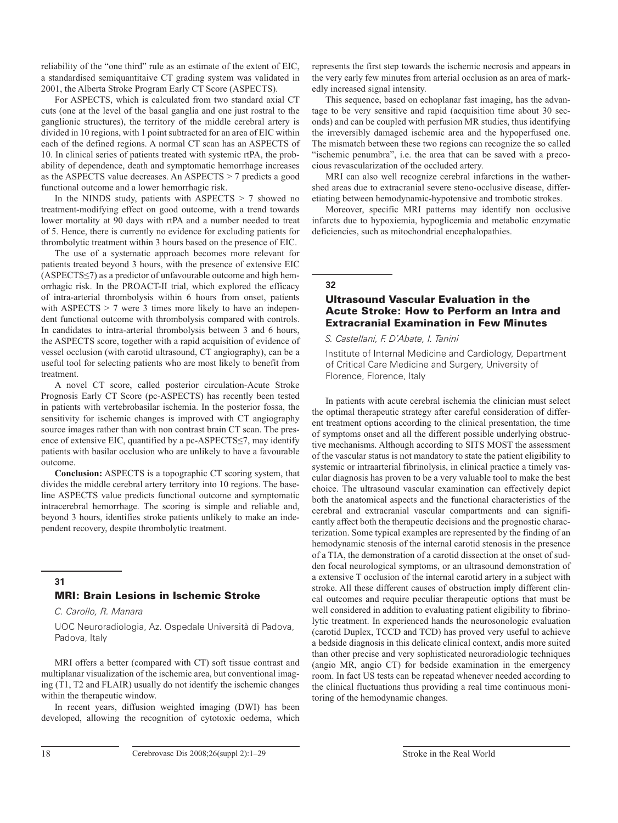reliability of the "one third" rule as an estimate of the extent of EIC, a standardised semiquantitaive CT grading system was validated in 2001, the Alberta Stroke Program Early CT Score (ASPECTS).

For ASPECTS, which is calculated from two standard axial CT cuts (one at the level of the basal ganglia and one just rostral to the ganglionic structures), the territory of the middle cerebral artery is divided in 10 regions, with 1 point subtracted for an area of EIC within each of the defined regions. A normal CT scan has an ASPECTS of 10. In clinical series of patients treated with systemic rtPA, the probability of dependence, death and symptomatic hemorrhage increases as the ASPECTS value decreases. An ASPECTS > 7 predicts a good functional outcome and a lower hemorrhagic risk.

In the NINDS study, patients with ASPECTS > 7 showed no treatment-modifying effect on good outcome, with a trend towards lower mortality at 90 days with rtPA and a number needed to treat of 5. Hence, there is currently no evidence for excluding patients for thrombolytic treatment within 3 hours based on the presence of EIC.

The use of a systematic approach becomes more relevant for patients treated beyond 3 hours, with the presence of extensive EIC (ASPECTS≤7) as a predictor of unfavourable outcome and high hemorrhagic risk. In the PROACT-II trial, which explored the efficacy of intra-arterial thrombolysis within 6 hours from onset, patients with ASPECTS > 7 were 3 times more likely to have an independent functional outcome with thrombolysis compared with controls. In candidates to intra-arterial thrombolysis between 3 and 6 hours, the ASPECTS score, together with a rapid acquisition of evidence of vessel occlusion (with carotid ultrasound, CT angiography), can be a useful tool for selecting patients who are most likely to benefit from treatment.

A novel CT score, called posterior circulation-Acute Stroke Prognosis Early CT Score (pc-ASPECTS) has recently been tested in patients with vertebrobasilar ischemia. In the posterior fossa, the sensitivity for ischemic changes is improved with CT angiography source images rather than with non contrast brain CT scan. The presence of extensive EIC, quantified by a pc-ASPECTS≤7, may identify patients with basilar occlusion who are unlikely to have a favourable outcome.

**Conclusion:** ASPECTS is a topographic CT scoring system, that divides the middle cerebral artery territory into 10 regions. The baseline ASPECTS value predicts functional outcome and symptomatic intracerebral hemorrhage. The scoring is simple and reliable and, beyond 3 hours, identifies stroke patients unlikely to make an independent recovery, despite thrombolytic treatment.

## **31**

## MRI: Brain Lesions in Ischemic Stroke

*C. Carollo, R. Manara*

UOC Neuroradiologia, Az. Ospedale Università di Padova, Padova, Italy

MRI offers a better (compared with CT) soft tissue contrast and multiplanar visualization of the ischemic area, but conventional imaging (T1, T2 and FLAIR) usually do not identify the ischemic changes within the therapeutic window.

In recent years, diffusion weighted imaging (DWI) has been developed, allowing the recognition of cytotoxic oedema, which represents the first step towards the ischemic necrosis and appears in the very early few minutes from arterial occlusion as an area of markedly increased signal intensity.

This sequence, based on echoplanar fast imaging, has the advantage to be very sensitive and rapid (acquisition time about 30 seconds) and can be coupled with perfusion MR studies, thus identifying the irreversibly damaged ischemic area and the hypoperfused one. The mismatch between these two regions can recognize the so called "ischemic penumbra", i.e. the area that can be saved with a precocious revascularization of the occluded artery.

MRI can also well recognize cerebral infarctions in the wathershed areas due to extracranial severe steno-occlusive disease, differetiating between hemodynamic-hypotensive and trombotic strokes.

Moreover, specific MRI patterns may identify non occlusive infarcts due to hypoxiemia, hypoglicemia and metabolic enzymatic deficiencies, such as mitochondrial encephalopathies.

**32**

## Ultrasound Vascular Evaluation in the Acute Stroke: How to Perform an Intra and Extracranial Examination in Few Minutes

*S. Castellani, F. D'Abate, I. Tanini*

Institute of Internal Medicine and Cardiology, Department of Critical Care Medicine and Surgery, University of Florence, Florence, Italy

In patients with acute cerebral ischemia the clinician must select the optimal therapeutic strategy after careful consideration of different treatment options according to the clinical presentation, the time of symptoms onset and all the different possible underlying obstructive mechanisms. Although according to SITS MOST the assessment of the vascular status is not mandatory to state the patient eligibility to systemic or intraarterial fibrinolysis, in clinical practice a timely vascular diagnosis has proven to be a very valuable tool to make the best choice. The ultrasound vascular examination can effectively depict both the anatomical aspects and the functional characteristics of the cerebral and extracranial vascular compartments and can significantly affect both the therapeutic decisions and the prognostic characterization. Some typical examples are represented by the finding of an hemodynamic stenosis of the internal carotid stenosis in the presence of a TIA, the demonstration of a carotid dissection at the onset of sudden focal neurological symptoms, or an ultrasound demonstration of a extensive T occlusion of the internal carotid artery in a subject with stroke. All these different causes of obstruction imply different clincal outcomes and require peculiar therapeutic options that must be well considered in addition to evaluating patient eligibility to fibrinolytic treatment. In experienced hands the neurosonologic evaluation (carotid Duplex, TCCD and TCD) has proved very useful to achieve a bedside diagnosis in this delicate clinical context, andis more suited than other precise and very sophisticated neuroradiologic techniques (angio MR, angio CT) for bedside examination in the emergency room. In fact US tests can be repeatad whenever needed according to the clinical fluctuations thus providing a real time continuous monitoring of the hemodynamic changes.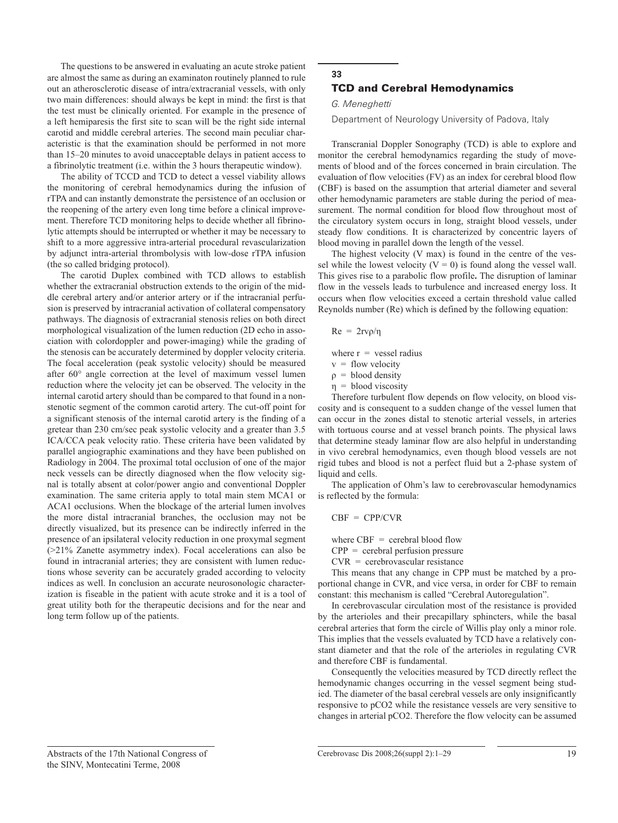The questions to be answered in evaluating an acute stroke patient are almost the same as during an examinaton routinely planned to rule out an atherosclerotic disease of intra/extracranial vessels, with only two main differences: should always be kept in mind: the first is that the test must be clinically oriented. For example in the presence of a left hemiparesis the first site to scan will be the right side internal carotid and middle cerebral arteries. The second main peculiar characteristic is that the examination should be performed in not more than 15–20 minutes to avoid unacceptable delays in patient access to a fibrinolytic treatment (i.e. within the 3 hours therapeutic window).

The ability of TCCD and TCD to detect a vessel viability allows the monitoring of cerebral hemodynamics during the infusion of rTPA and can instantly demonstrate the persistence of an occlusion or the reopening of the artery even long time before a clinical improvement. Therefore TCD monitoring helps to decide whether all fibrinolytic attempts should be interrupted or whether it may be necessary to shift to a more aggressive intra-arterial procedural revascularization by adjunct intra-arterial thrombolysis with low-dose rTPA infusion (the so called bridging protocol).

The carotid Duplex combined with TCD allows to establish whether the extracranial obstruction extends to the origin of the middle cerebral artery and/or anterior artery or if the intracranial perfusion is preserved by intracranial activation of collateral compensatory pathways. The diagnosis of extracranial stenosis relies on both direct morphological visualization of the lumen reduction (2D echo in association with colordoppler and power-imaging) while the grading of the stenosis can be accurately determined by doppler velocity criteria. The focal acceleration (peak systolic velocity) should be measured after 60° angle correction at the level of maximum vessel lumen reduction where the velocity jet can be observed. The velocity in the internal carotid artery should than be compared to that found in a nonstenotic segment of the common carotid artery. The cut-off point for a significant stenosis of the internal carotid artery is the finding of a gretear than 230 cm/sec peak systolic velocity and a greater than 3.5 ICA/CCA peak velocity ratio. These criteria have been validated by parallel angiographic examinations and they have been published on Radiology in 2004. The proximal total occlusion of one of the major neck vessels can be directly diagnosed when the flow velocity signal is totally absent at color/power angio and conventional Doppler examination. The same criteria apply to total main stem MCA1 or ACA1 occlusions. When the blockage of the arterial lumen involves the more distal intracranial branches, the occlusion may not be directly visualized, but its presence can be indirectly inferred in the presence of an ipsilateral velocity reduction in one proxymal segment (>21% Zanette asymmetry index). Focal accelerations can also be found in intracranial arteries; they are consistent with lumen reductions whose severity can be accurately graded according to velocity indices as well. In conclusion an accurate neurosonologic characterization is fiseable in the patient with acute stroke and it is a tool of great utility both for the therapeutic decisions and for the near and long term follow up of the patients.

## **33** TCD and Cerebral Hemodynamics

#### *G. Meneghetti*

Department of Neurology University of Padova, Italy

Transcranial Doppler Sonography (TCD) is able to explore and monitor the cerebral hemodynamics regarding the study of movements of blood and of the forces concerned in brain circulation. The evaluation of flow velocities (FV) as an index for cerebral blood flow (CBF) is based on the assumption that arterial diameter and several other hemodynamic parameters are stable during the period of measurement. The normal condition for blood flow throughout most of the circulatory system occurs in long, straight blood vessels, under steady flow conditions. It is characterized by concentric layers of blood moving in parallel down the length of the vessel.

The highest velocity (V max) is found in the centre of the vessel while the lowest velocity  $(V = 0)$  is found along the vessel wall. This gives rise to a parabolic flow profile**.** The disruption of laminar flow in the vessels leads to turbulence and increased energy loss. It occurs when flow velocities exceed a certain threshold value called Reynolds number (Re) which is defined by the following equation:

$$
Re = 2rv\rho/\eta
$$

where  $r =$  vessel radius

 $v =$  flow velocity

 $\rho =$  blood density

 $\eta$  = blood viscosity

Therefore turbulent flow depends on flow velocity, on blood viscosity and is consequent to a sudden change of the vessel lumen that can occur in the zones distal to stenotic arterial vessels, in arteries with tortuous course and at vessel branch points. The physical laws that determine steady laminar flow are also helpful in understanding in vivo cerebral hemodynamics, even though blood vessels are not rigid tubes and blood is not a perfect fluid but a 2-phase system of liquid and cells.

The application of Ohm's law to cerebrovascular hemodynamics is reflected by the formula:

 $CBF = CPP/CVR$ 

where  $CBF =$  cerebral blood flow

 $CPP = \text{cerebral perfusion pressure}$ 

CVR = cerebrovascular resistance

This means that any change in CPP must be matched by a proportional change in CVR, and vice versa, in order for CBF to remain constant: this mechanism is called "Cerebral Autoregulation".

In cerebrovascular circulation most of the resistance is provided by the arterioles and their precapillary sphincters, while the basal cerebral arteries that form the circle of Willis play only a minor role. This implies that the vessels evaluated by TCD have a relatively constant diameter and that the role of the arterioles in regulating CVR and therefore CBF is fundamental.

Consequently the velocities measured by TCD directly reflect the hemodynamic changes occurring in the vessel segment being studied. The diameter of the basal cerebral vessels are only insignificantly responsive to pCO2 while the resistance vessels are very sensitive to changes in arterial pCO2. Therefore the flow velocity can be assumed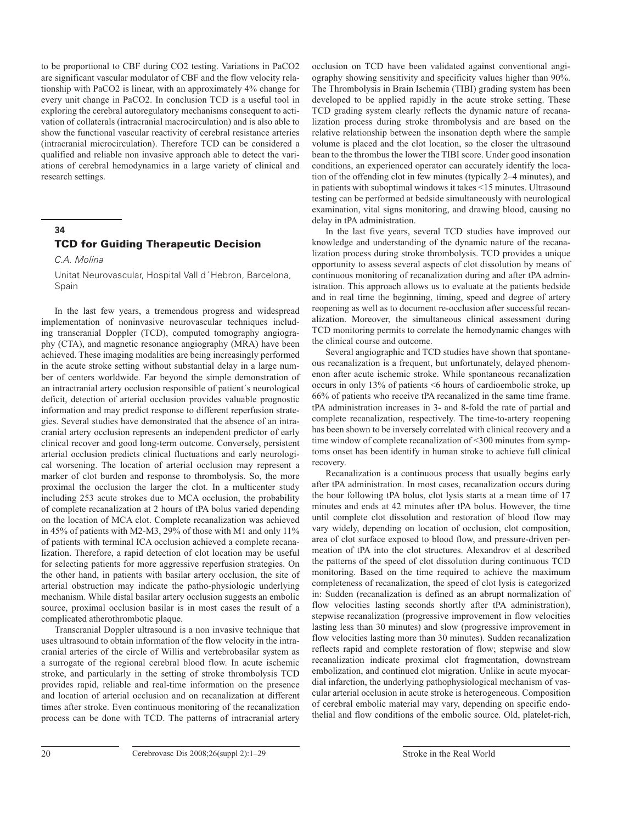to be proportional to CBF during CO2 testing. Variations in PaCO2 are significant vascular modulator of CBF and the flow velocity relationship with PaCO2 is linear, with an approximately 4% change for every unit change in PaCO2. In conclusion TCD is a useful tool in exploring the cerebral autoregulatory mechanisms consequent to activation of collaterals (intracranial macrocirculation) and is also able to show the functional vascular reactivity of cerebral resistance arteries (intracranial microcirculation). Therefore TCD can be considered a qualified and reliable non invasive approach able to detect the variations of cerebral hemodynamics in a large variety of clinical and research settings.

#### **34**

## TCD for Guiding Therapeutic Decision

*C.A. Molina*

Unitat Neurovascular, Hospital Vall d´Hebron, Barcelona, Spain

In the last few years, a tremendous progress and widespread implementation of noninvasive neurovascular techniques including transcranial Doppler (TCD), computed tomography angiography (CTA), and magnetic resonance angiography (MRA) have been achieved. These imaging modalities are being increasingly performed in the acute stroke setting without substantial delay in a large number of centers worldwide. Far beyond the simple demonstration of an intractranial artery occlusion responsible of patient´s neurological deficit, detection of arterial occlusion provides valuable prognostic information and may predict response to different reperfusion strategies. Several studies have demonstrated that the absence of an intracranial artery occlusion represents an independent predictor of early clinical recover and good long-term outcome. Conversely, persistent arterial occlusion predicts clinical fluctuations and early neurological worsening. The location of arterial occlusion may represent a marker of clot burden and response to thrombolysis. So, the more proximal the occlusion the larger the clot. In a multicenter study including 253 acute strokes due to MCA occlusion, the probability of complete recanalization at 2 hours of tPA bolus varied depending on the location of MCA clot. Complete recanalization was achieved in 45% of patients with M2-M3, 29% of those with M1 and only 11% of patients with terminal ICA occlusion achieved a complete recanalization. Therefore, a rapid detection of clot location may be useful for selecting patients for more aggressive reperfusion strategies. On the other hand, in patients with basilar artery occlusion, the site of arterial obstruction may indicate the patho-physiologic underlying mechanism. While distal basilar artery occlusion suggests an embolic source, proximal occlusion basilar is in most cases the result of a complicated atherothrombotic plaque.

Transcranial Doppler ultrasound is a non invasive technique that uses ultrasound to obtain information of the flow velocity in the intracranial arteries of the circle of Willis and vertebrobasilar system as a surrogate of the regional cerebral blood flow. In acute ischemic stroke, and particularly in the setting of stroke thrombolysis TCD provides rapid, reliable and real-time information on the presence and location of arterial occlusion and on recanalization at different times after stroke. Even continuous monitoring of the recanalization process can be done with TCD. The patterns of intracranial artery

occlusion on TCD have been validated against conventional angiography showing sensitivity and specificity values higher than 90%. The Thrombolysis in Brain Ischemia (TIBI) grading system has been developed to be applied rapidly in the acute stroke setting. These TCD grading system clearly reflects the dynamic nature of recanalization process during stroke thrombolysis and are based on the relative relationship between the insonation depth where the sample volume is placed and the clot location, so the closer the ultrasound bean to the thrombus the lower the TIBI score. Under good insonation conditions, an experienced operator can accurately identify the location of the offending clot in few minutes (typically 2–4 minutes), and in patients with suboptimal windows it takes <15 minutes. Ultrasound testing can be performed at bedside simultaneously with neurological examination, vital signs monitoring, and drawing blood, causing no delay in tPA administration.

In the last five years, several TCD studies have improved our knowledge and understanding of the dynamic nature of the recanalization process during stroke thrombolysis. TCD provides a unique opportunity to assess several aspects of clot dissolution by means of continuous monitoring of recanalization during and after tPA administration. This approach allows us to evaluate at the patients bedside and in real time the beginning, timing, speed and degree of artery reopening as well as to document re-occlusion after successful recanalization. Moreover, the simultaneous clinical assessment during TCD monitoring permits to correlate the hemodynamic changes with the clinical course and outcome.

Several angiographic and TCD studies have shown that spontaneous recanalization is a frequent, but unfortunately, delayed phenomenon after acute ischemic stroke. While spontaneous recanalization occurs in only 13% of patients <6 hours of cardioembolic stroke, up 66% of patients who receive tPA recanalized in the same time frame. tPA administration increases in 3- and 8-fold the rate of partial and complete recanalization, respectively. The time-to-artery reopening has been shown to be inversely correlated with clinical recovery and a time window of complete recanalization of <300 minutes from symptoms onset has been identify in human stroke to achieve full clinical recovery.

Recanalization is a continuous process that usually begins early after tPA administration. In most cases, recanalization occurs during the hour following tPA bolus, clot lysis starts at a mean time of 17 minutes and ends at 42 minutes after tPA bolus. However, the time until complete clot dissolution and restoration of blood flow may vary widely, depending on location of occlusion, clot composition, area of clot surface exposed to blood flow, and pressure-driven permeation of tPA into the clot structures. Alexandrov et al described the patterns of the speed of clot dissolution during continuous TCD monitoring. Based on the time required to achieve the maximum completeness of recanalization, the speed of clot lysis is categorized in: Sudden (recanalization is defined as an abrupt normalization of flow velocities lasting seconds shortly after tPA administration), stepwise recanalization (progressive improvement in flow velocities lasting less than 30 minutes) and slow (progressive improvement in flow velocities lasting more than 30 minutes). Sudden recanalization reflects rapid and complete restoration of flow; stepwise and slow recanalization indicate proximal clot fragmentation, downstream embolization, and continued clot migration. Unlike in acute myocardial infarction, the underlying pathophysiological mechanism of vascular arterial occlusion in acute stroke is heterogeneous. Composition of cerebral embolic material may vary, depending on specific endothelial and flow conditions of the embolic source. Old, platelet-rich,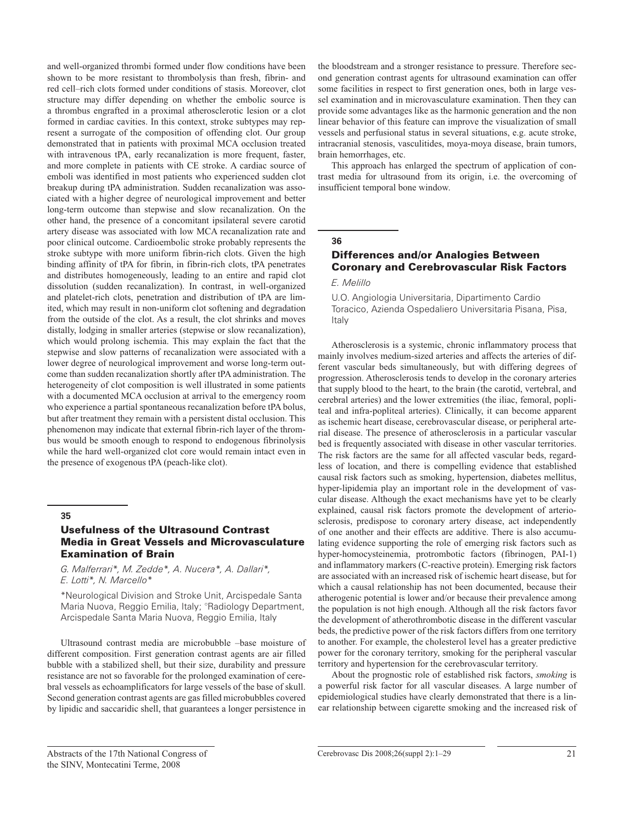and well-organized thrombi formed under flow conditions have been shown to be more resistant to thrombolysis than fresh, fibrin- and red cell–rich clots formed under conditions of stasis. Moreover, clot structure may differ depending on whether the embolic source is a thrombus engrafted in a proximal atherosclerotic lesion or a clot formed in cardiac cavities. In this context, stroke subtypes may represent a surrogate of the composition of offending clot. Our group demonstrated that in patients with proximal MCA occlusion treated with intravenous tPA, early recanalization is more frequent, faster, and more complete in patients with CE stroke. A cardiac source of emboli was identified in most patients who experienced sudden clot breakup during tPA administration. Sudden recanalization was associated with a higher degree of neurological improvement and better long-term outcome than stepwise and slow recanalization. On the other hand, the presence of a concomitant ipsilateral severe carotid artery disease was associated with low MCA recanalization rate and poor clinical outcome. Cardioembolic stroke probably represents the stroke subtype with more uniform fibrin-rich clots. Given the high binding affinity of tPA for fibrin, in fibrin-rich clots, tPA penetrates and distributes homogeneously, leading to an entire and rapid clot dissolution (sudden recanalization). In contrast, in well-organized and platelet-rich clots, penetration and distribution of tPA are limited, which may result in non-uniform clot softening and degradation from the outside of the clot. As a result, the clot shrinks and moves distally, lodging in smaller arteries (stepwise or slow recanalization), which would prolong ischemia. This may explain the fact that the stepwise and slow patterns of recanalization were associated with a lower degree of neurological improvement and worse long-term outcome than sudden recanalization shortly after tPA administration. The heterogeneity of clot composition is well illustrated in some patients with a documented MCA occlusion at arrival to the emergency room who experience a partial spontaneous recanalization before tPA bolus, but after treatment they remain with a persistent distal occlusion. This phenomenon may indicate that external fibrin-rich layer of the thrombus would be smooth enough to respond to endogenous fibrinolysis while the hard well-organized clot core would remain intact even in the presence of exogenous tPA (peach-like clot).

#### **35**

## Usefulness of the Ultrasound Contrast Media in Great Vessels and Microvasculature Examination of Brain

*G. Malferrari\*, M. Zedde\*, A. Nucera\*, A. Dallari\*, E. Lotti\*, N. Marcello\**

\*Neurological Division and Stroke Unit, Arcispedale Santa Maria Nuova, Reggio Emilia, Italy; °Radiology Department, Arcispedale Santa Maria Nuova, Reggio Emilia, Italy

Ultrasound contrast media are microbubble –base moisture of different composition. First generation contrast agents are air filled bubble with a stabilized shell, but their size, durability and pressure resistance are not so favorable for the prolonged examination of cerebral vessels as echoamplificators for large vessels of the base of skull. Second generation contrast agents are gas filled microbubbles covered by lipidic and saccaridic shell, that guarantees a longer persistence in the bloodstream and a stronger resistance to pressure. Therefore second generation contrast agents for ultrasound examination can offer some facilities in respect to first generation ones, both in large vessel examination and in microvasculature examination. Then they can provide some advantages like as the harmonic generation and the non linear behavior of this feature can improve the visualization of small vessels and perfusional status in several situations, e.g. acute stroke, intracranial stenosis, vasculitides, moya-moya disease, brain tumors, brain hemorrhages, etc.

This approach has enlarged the spectrum of application of contrast media for ultrasound from its origin, i.e. the overcoming of insufficient temporal bone window.

#### **36**

## Differences and/or Analogies Between Coronary and Cerebrovascular Risk Factors

## *E. Melillo*

U.O. Angiologia Universitaria, Dipartimento Cardio Toracico, Azienda Ospedaliero Universitaria Pisana, Pisa, Italy

Atherosclerosis is a systemic, chronic inflammatory process that mainly involves medium-sized arteries and affects the arteries of different vascular beds simultaneously, but with differing degrees of progression. Atherosclerosis tends to develop in the coronary arteries that supply blood to the heart, to the brain (the carotid, vertebral, and cerebral arteries) and the lower extremities (the iliac, femoral, popliteal and infra-popliteal arteries). Clinically, it can become apparent as ischemic heart disease, cerebrovascular disease, or peripheral arterial disease. The presence of atherosclerosis in a particular vascular bed is frequently associated with disease in other vascular territories. The risk factors are the same for all affected vascular beds, regardless of location, and there is compelling evidence that established causal risk factors such as smoking, hypertension, diabetes mellitus, hyper-lipidemia play an important role in the development of vascular disease. Although the exact mechanisms have yet to be clearly explained, causal risk factors promote the development of arteriosclerosis, predispose to coronary artery disease, act independently of one another and their effects are additive. There is also accumulating evidence supporting the role of emerging risk factors such as hyper-homocysteinemia, protrombotic factors (fibrinogen, PAI-1) and inflammatory markers (C-reactive protein). Emerging risk factors are associated with an increased risk of ischemic heart disease, but for which a causal relationship has not been documented, because their atherogenic potential is lower and/or because their prevalence among the population is not high enough. Although all the risk factors favor the development of atherothrombotic disease in the different vascular beds, the predictive power of the risk factors differs from one territory to another. For example, the cholesterol level has a greater predictive power for the coronary territory, smoking for the peripheral vascular territory and hypertension for the cerebrovascular territory.

About the prognostic role of established risk factors, *smoking* is a powerful risk factor for all vascular diseases. A large number of epidemiological studies have clearly demonstrated that there is a linear relationship between cigarette smoking and the increased risk of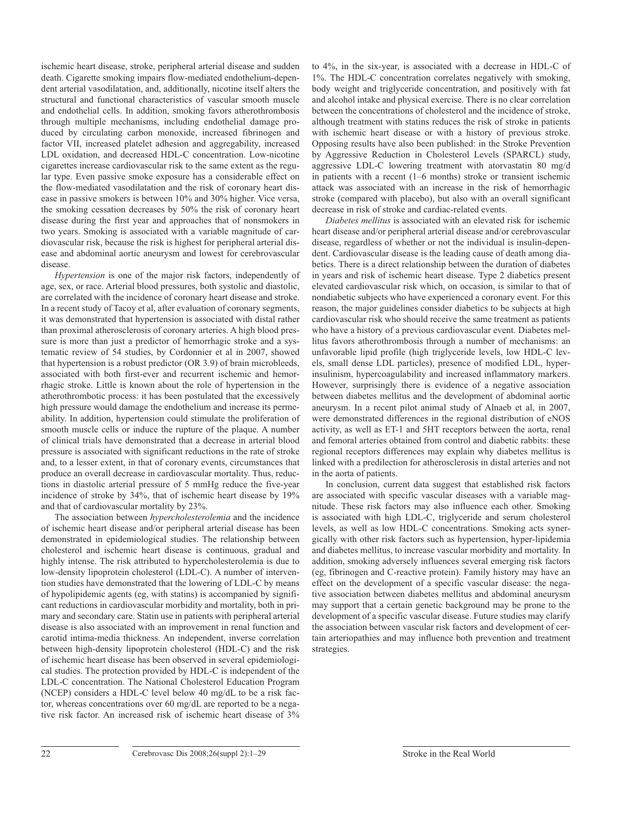ischemic heart disease, stroke, peripheral arterial disease and sudden death. Cigarette smoking impairs flow-mediated endothelium-dependent arterial vasodilatation, and, additionally, nicotine itself alters the structural and functional characteristics of vascular smooth muscle and endothelial cells. In addition, smoking favors atherothrombosis through multiple mechanisms, including endothelial damage produced by circulating carbon monoxide, increased fibrinogen and factor VII, increased platelet adhesion and aggregability, increased LDL oxidation, and decreased HDL-C concentration. Low-nicotine cigarettes increase cardiovascular risk to the same extent as the regular type. Even passive smoke exposure has a considerable effect on the flow-mediated vasodilatation and the risk of coronary heart disease in passive smokers is between 10% and 30% higher. Vice versa, the smoking cessation decreases by 50% the risk of coronary heart disease during the first year and approaches that of nonsmokers in two years. Smoking is associated with a variable magnitude of cardiovascular risk, because the risk is highest for peripheral arterial disease and abdominal aortic aneurysm and lowest for cerebrovascular disease.

*Hypertension* is one of the major risk factors, independently of age, sex, or race. Arterial blood pressures, both systolic and diastolic, are correlated with the incidence of coronary heart disease and stroke. In a recent study of Tacoy et al, after evaluation of coronary segments, it was demonstrated that hypertension is associated with distal rather than proximal atherosclerosis of coronary arteries. A high blood pressure is more than just a predictor of hemorrhagic stroke and a systematic review of 54 studies, by Cordonnier et al in 2007, showed that hypertension is a robust predictor (OR 3.9) of brain microbleeds, associated with both first-ever and recurrent ischemic and hemorrhagic stroke. Little is known about the role of hypertension in the atherothrombotic process: it has been postulated that the excessively high pressure would damage the endothelium and increase its permeability. In addition, hypertension could stimulate the proliferation of smooth muscle cells or induce the rupture of the plaque. A number of clinical trials have demonstrated that a decrease in arterial blood pressure is associated with significant reductions in the rate of stroke and, to a lesser extent, in that of coronary events, circumstances that produce an overall decrease in cardiovascular mortality. Thus, reductions in diastolic arterial pressure of 5 mmHg reduce the five-year incidence of stroke by 34%, that of ischemic heart disease by 19% and that of cardiovascular mortality by 23%.

The association between *hypercholesterolemia* and the incidence of ischemic heart disease and/or peripheral arterial disease has been demonstrated in epidemiological studies. The relationship between cholesterol and ischemic heart disease is continuous, gradual and highly intense. The risk attributed to hypercholesterolemia is due to low-density lipoprotein cholesterol (LDL-C). A number of intervention studies have demonstrated that the lowering of LDL-C by means of hypolipidemic agents (eg, with statins) is accompanied by significant reductions in cardiovascular morbidity and mortality, both in primary and secondary care. Statin use in patients with peripheral arterial disease is also associated with an improvement in renal function and carotid intima-media thickness. An independent, inverse correlation between high-density lipoprotein cholesterol (HDL-C) and the risk of ischemic heart disease has been observed in several epidemiological studies. The protection provided by HDL-C is independent of the LDL-C concentration. The National Cholesterol Education Program (NCEP) considers a HDL-C level below 40 mg/dL to be a risk factor, whereas concentrations over 60 mg/dL are reported to be a negative risk factor. An increased risk of ischemic heart disease of 3%

to 4%, in the six-year, is associated with a decrease in HDL-C of 1%. The HDL-C concentration correlates negatively with smoking, body weight and triglyceride concentration, and positively with fat and alcohol intake and physical exercise. There is no clear correlation between the concentrations of cholesterol and the incidence of stroke, although treatment with statins reduces the risk of stroke in patients with ischemic heart disease or with a history of previous stroke. Opposing results have also been published: in the Stroke Prevention by Aggressive Reduction in Cholesterol Levels (SPARCL) study, aggressive LDL-C lowering treatment with atorvastatin 80 mg/d in patients with a recent (1–6 months) stroke or transient ischemic attack was associated with an increase in the risk of hemorrhagic stroke (compared with placebo), but also with an overall significant decrease in risk of stroke and cardiac-related events.

*Diabetes mellitus* is associated with an elevated risk for ischemic heart disease and/or peripheral arterial disease and/or cerebrovascular disease, regardless of whether or not the individual is insulin-dependent. Cardiovascular disease is the leading cause of death among diabetics. There is a direct relationship between the duration of diabetes in years and risk of ischemic heart disease. Type 2 diabetics present elevated cardiovascular risk which, on occasion, is similar to that of nondiabetic subjects who have experienced a coronary event. For this reason, the major guidelines consider diabetics to be subjects at high cardiovascular risk who should receive the same treatment as patients who have a history of a previous cardiovascular event. Diabetes mellitus favors atherothrombosis through a number of mechanisms: an unfavorable lipid profile (high triglyceride levels, low HDL-C levels, small dense LDL particles), presence of modified LDL, hyperinsulinism, hypercoagulability and increased inflammatory markers. However, surprisingly there is evidence of a negative association between diabetes mellitus and the development of abdominal aortic aneurysm. In a recent pilot animal study of Alnaeb et al, in 2007, were demonstrated differences in the regional distribution of eNOS activity, as well as ET-1 and 5HT receptors between the aorta, renal and femoral arteries obtained from control and diabetic rabbits: these regional receptors differences may explain why diabetes mellitus is linked with a predilection for atherosclerosis in distal arteries and not in the aorta of patients.

In conclusion, current data suggest that established risk factors are associated with specific vascular diseases with a variable magnitude. These risk factors may also influence each other. Smoking is associated with high LDL-C, triglyceride and serum cholesterol levels, as well as low HDL-C concentrations. Smoking acts synergically with other risk factors such as hypertension, hyper-lipidemia and diabetes mellitus, to increase vascular morbidity and mortality. In addition, smoking adversely influences several emerging risk factors (eg, fibrinogen and C-reactive protein). Family history may have an effect on the development of a specific vascular disease: the negative association between diabetes mellitus and abdominal aneurysm may support that a certain genetic background may be prone to the development of a specific vascular disease. Future studies may clarify the association between vascular risk factors and development of certain arteriopathies and may influence both prevention and treatment strategies.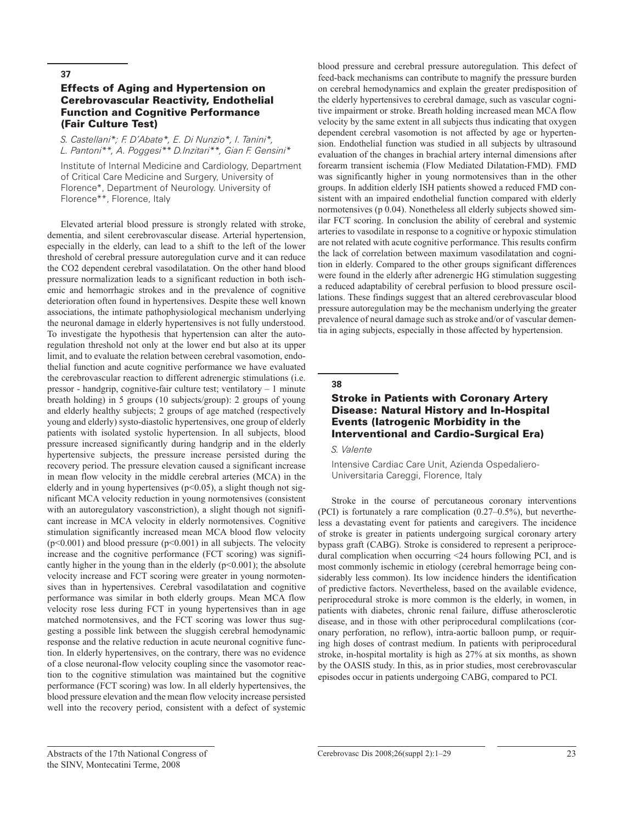## Effects of Aging and Hypertension on Cerebrovascular Reactivity, Endothelial Function and Cognitive Performance (Fair Culture Test)

*S. Castellani\*; F. D'Abate\*, E. Di Nunzio\*, I. Tanini\*, L. Pantoni\*\*, A. Poggesi\*\* D.Inzitari\*\*, Gian F. Gensini\**

Institute of Internal Medicine and Cardiology, Department of Critical Care Medicine and Surgery, University of Florence\*, Department of Neurology. University of Florence\*\*, Florence, Italy

Elevated arterial blood pressure is strongly related with stroke, dementia, and silent cerebrovascular disease. Arterial hypertension, especially in the elderly, can lead to a shift to the left of the lower threshold of cerebral pressure autoregulation curve and it can reduce the CO2 dependent cerebral vasodilatation. On the other hand blood pressure normalization leads to a significant reduction in both ischemic and hemorrhagic strokes and in the prevalence of cognitive deterioration often found in hypertensives. Despite these well known associations, the intimate pathophysiological mechanism underlying the neuronal damage in elderly hypertensives is not fully understood. To investigate the hypothesis that hypertension can alter the autoregulation threshold not only at the lower end but also at its upper limit, and to evaluate the relation between cerebral vasomotion, endothelial function and acute cognitive performance we have evaluated the cerebrovascular reaction to different adrenergic stimulations (i.e. pressor - handgrip, cognitive-fair culture test; ventilatory – 1 minute breath holding) in 5 groups (10 subjects/group): 2 groups of young and elderly healthy subjects; 2 groups of age matched (respectively young and elderly) systo-diastolic hypertensives, one group of elderly patients with isolated systolic hypertension. In all subjects, blood pressure increased significantly during handgrip and in the elderly hypertensive subjects, the pressure increase persisted during the recovery period. The pressure elevation caused a significant increase in mean flow velocity in the middle cerebral arteries (MCA) in the elderly and in young hypertensives  $(p<0.05)$ , a slight though not significant MCA velocity reduction in young normotensives (consistent with an autoregulatory vasconstriction), a slight though not significant increase in MCA velocity in elderly normotensives. Cognitive stimulation significantly increased mean MCA blood flow velocity  $(p<0.001)$  and blood pressure  $(p<0.001)$  in all subjects. The velocity increase and the cognitive performance (FCT scoring) was significantly higher in the young than in the elderly  $(p<0.001)$ ; the absolute velocity increase and FCT scoring were greater in young normotensives than in hypertensives. Cerebral vasodilatation and cognitive performance was similar in both elderly groups. Mean MCA flow velocity rose less during FCT in young hypertensives than in age matched normotensives, and the FCT scoring was lower thus suggesting a possible link between the sluggish cerebral hemodynamic response and the relative reduction in acute neuronal cognitive function. In elderly hypertensives, on the contrary, there was no evidence of a close neuronal-flow velocity coupling since the vasomotor reaction to the cognitive stimulation was maintained but the cognitive performance (FCT scoring) was low. In all elderly hypertensives, the blood pressure elevation and the mean flow velocity increase persisted well into the recovery period, consistent with a defect of systemic

blood pressure and cerebral pressure autoregulation. This defect of feed-back mechanisms can contribute to magnify the pressure burden on cerebral hemodynamics and explain the greater predisposition of the elderly hypertensives to cerebral damage, such as vascular cognitive impairment or stroke. Breath holding increased mean MCA flow velocity by the same extent in all subjects thus indicating that oxygen dependent cerebral vasomotion is not affected by age or hypertension. Endothelial function was studied in all subjects by ultrasound evaluation of the changes in brachial artery internal dimensions after forearm transient ischemia (Flow Mediated Dilatation-FMD). FMD was significantly higher in young normotensives than in the other groups. In addition elderly ISH patients showed a reduced FMD consistent with an impaired endothelial function compared with elderly normotensives (p 0.04). Nonetheless all elderly subjects showed similar FCT scoring. In conclusion the ability of cerebral and systemic arteries to vasodilate in response to a cognitive or hypoxic stimulation are not related with acute cognitive performance. This results confirm the lack of correlation between maximum vasodilatation and cognition in elderly. Compared to the other groups significant differences were found in the elderly after adrenergic HG stimulation suggesting a reduced adaptability of cerebral perfusion to blood pressure oscillations. These findings suggest that an altered cerebrovascular blood pressure autoregulation may be the mechanism underlying the greater prevalence of neural damage such as stroke and/or of vascular dementia in aging subjects, especially in those affected by hypertension.

#### **38**

## Stroke in Patients with Coronary Artery Disease: Natural History and In-Hospital Events (Iatrogenic Morbidity in the Interventional and Cardio-Surgical Era)

#### *S. Valente*

Intensive Cardiac Care Unit, Azienda Ospedaliero-Universitaria Careggi, Florence, Italy

Stroke in the course of percutaneous coronary interventions (PCI) is fortunately a rare complication (0.27–0.5%), but nevertheless a devastating event for patients and caregivers. The incidence of stroke is greater in patients undergoing surgical coronary artery bypass graft (CABG). Stroke is considered to represent a periprocedural complication when occurring <24 hours following PCI, and is most commonly ischemic in etiology (cerebral hemorrage being considerably less common). Its low incidence hinders the identification of predictive factors. Nevertheless, based on the available evidence, periprocedural stroke is more common is the elderly, in women, in patients with diabetes, chronic renal failure, diffuse atherosclerotic disease, and in those with other periprocedural complilcations (coronary perforation, no reflow), intra-aortic balloon pump, or requiring high doses of contrast medium. In patients with periprocedural stroke, in-hospital mortality is high as 27% at six months, as shown by the OASIS study. In this, as in prior studies, most cerebrovascular episodes occur in patients undergoing CABG, compared to PCI.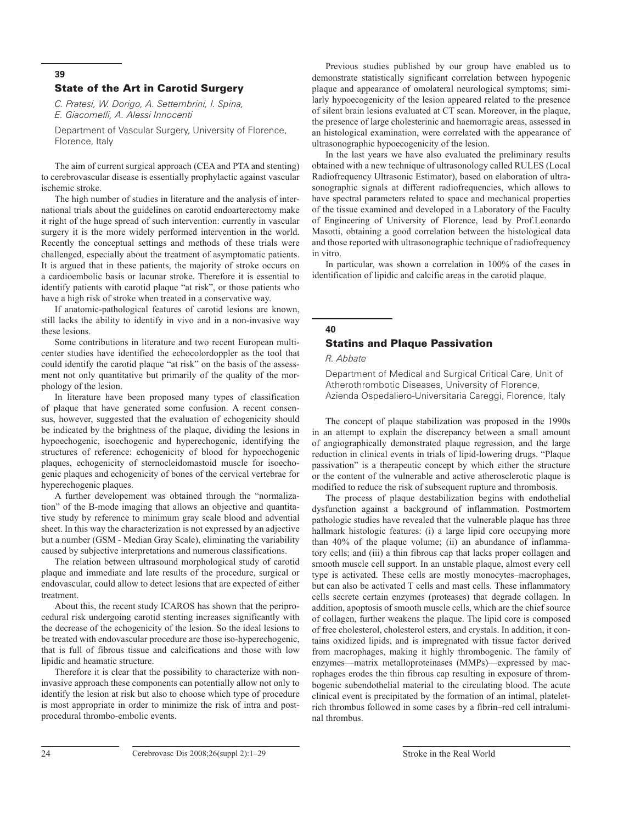#### State of the Art in Carotid Surgery

*C. Pratesi, W. Dorigo, A. Settembrini, I. Spina, E. Giacomelli, A. Alessi Innocenti*

Department of Vascular Surgery, University of Florence, Florence, Italy

The aim of current surgical approach (CEA and PTA and stenting) to cerebrovascular disease is essentially prophylactic against vascular ischemic stroke.

The high number of studies in literature and the analysis of international trials about the guidelines on carotid endoarterectomy make it right of the huge spread of such intervention: currently in vascular surgery it is the more widely performed intervention in the world. Recently the conceptual settings and methods of these trials were challenged, especially about the treatment of asymptomatic patients. It is argued that in these patients, the majority of stroke occurs on a cardioembolic basis or lacunar stroke. Therefore it is essential to identify patients with carotid plaque "at risk", or those patients who have a high risk of stroke when treated in a conservative way.

If anatomic-pathological features of carotid lesions are known, still lacks the ability to identify in vivo and in a non-invasive way these lesions.

Some contributions in literature and two recent European multicenter studies have identified the echocolordoppler as the tool that could identify the carotid plaque "at risk" on the basis of the assessment not only quantitative but primarily of the quality of the morphology of the lesion.

In literature have been proposed many types of classification of plaque that have generated some confusion. A recent consensus, however, suggested that the evaluation of echogenicity should be indicated by the brightness of the plaque, dividing the lesions in hypoechogenic, isoechogenic and hyperechogenic, identifying the structures of reference: echogenicity of blood for hypoechogenic plaques, echogenicity of sternocleidomastoid muscle for isoechogenic plaques and echogenicity of bones of the cervical vertebrae for hyperechogenic plaques.

A further developement was obtained through the "normalization" of the B-mode imaging that allows an objective and quantitative study by reference to minimum gray scale blood and advential sheet. In this way the characterization is not expressed by an adjective but a number (GSM - Median Gray Scale), eliminating the variability caused by subjective interpretations and numerous classifications.

The relation between ultrasound morphological study of carotid plaque and immediate and late results of the procedure, surgical or endovascular, could allow to detect lesions that are expected of either treatment.

About this, the recent study ICAROS has shown that the periprocedural risk undergoing carotid stenting increases significantly with the decrease of the echogenicity of the lesion. So the ideal lesions to be treated with endovascular procedure are those iso-hyperechogenic, that is full of fibrous tissue and calcifications and those with low lipidic and heamatic structure.

Therefore it is clear that the possibility to characterize with noninvasive approach these components can potentially allow not only to identify the lesion at risk but also to choose which type of procedure is most appropriate in order to minimize the risk of intra and postprocedural thrombo-embolic events.

Previous studies published by our group have enabled us to demonstrate statistically significant correlation between hypogenic plaque and appearance of omolateral neurological symptoms; similarly hypoecogenicity of the lesion appeared related to the presence of silent brain lesions evaluated at CT scan. Moreover, in the plaque, the presence of large cholesterinic and haemorragic areas, assessed in an histological examination, were correlated with the appearance of ultrasonographic hypoecogenicity of the lesion.

In the last years we have also evaluated the preliminary results obtained with a new technique of ultrasonology called RULES (Local Radiofrequency Ultrasonic Estimator), based on elaboration of ultrasonographic signals at different radiofrequencies, which allows to have spectral parameters related to space and mechanical properties of the tissue examined and developed in a Laboratory of the Faculty of Engineering of University of Florence, lead by Prof.Leonardo Masotti, obtaining a good correlation between the histological data and those reported with ultrasonographic technique of radiofrequency in vitro.

In particular, was shown a correlation in 100% of the cases in identification of lipidic and calcific areas in the carotid plaque.

## **40**

## Statins and Plaque Passivation

*R. Abbate*

Department of Medical and Surgical Critical Care, Unit of Atherothrombotic Diseases, University of Florence, Azienda Ospedaliero-Universitaria Careggi, Florence, Italy

The concept of plaque stabilization was proposed in the 1990s in an attempt to explain the discrepancy between a small amount of angiographically demonstrated plaque regression, and the large reduction in clinical events in trials of lipid-lowering drugs. "Plaque passivation" is a therapeutic concept by which either the structure or the content of the vulnerable and active atherosclerotic plaque is modified to reduce the risk of subsequent rupture and thrombosis.

The process of plaque destabilization begins with endothelial dysfunction against a background of inflammation. Postmortem pathologic studies have revealed that the vulnerable plaque has three hallmark histologic features: (i) a large lipid core occupying more than 40% of the plaque volume; (ii) an abundance of inflammatory cells; and (iii) a thin fibrous cap that lacks proper collagen and smooth muscle cell support. In an unstable plaque, almost every cell type is activated. These cells are mostly monocytes–macrophages, but can also be activated T cells and mast cells. These inflammatory cells secrete certain enzymes (proteases) that degrade collagen. In addition, apoptosis of smooth muscle cells, which are the chief source of collagen, further weakens the plaque. The lipid core is composed of free cholesterol, cholesterol esters, and crystals. In addition, it contains oxidized lipids, and is impregnated with tissue factor derived from macrophages, making it highly thrombogenic. The family of enzymes—matrix metalloproteinases (MMPs)—expressed by macrophages erodes the thin fibrous cap resulting in exposure of thrombogenic subendothelial material to the circulating blood. The acute clinical event is precipitated by the formation of an intimal, plateletrich thrombus followed in some cases by a fibrin–red cell intraluminal thrombus.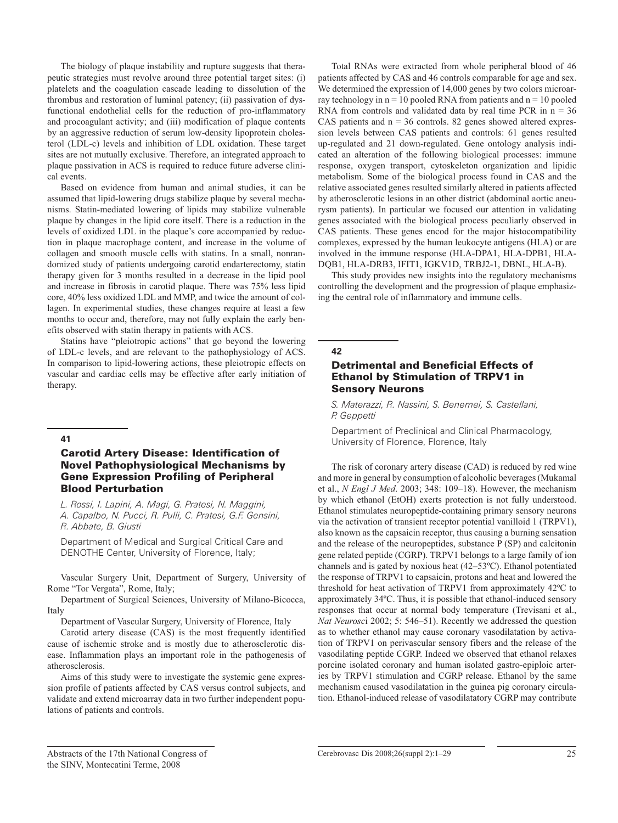The biology of plaque instability and rupture suggests that therapeutic strategies must revolve around three potential target sites: (i) platelets and the coagulation cascade leading to dissolution of the thrombus and restoration of luminal patency; (ii) passivation of dysfunctional endothelial cells for the reduction of pro-inflammatory and procoagulant activity; and (iii) modification of plaque contents by an aggressive reduction of serum low-density lipoprotein cholesterol (LDL-c) levels and inhibition of LDL oxidation. These target sites are not mutually exclusive. Therefore, an integrated approach to plaque passivation in ACS is required to reduce future adverse clinical events.

Based on evidence from human and animal studies, it can be assumed that lipid-lowering drugs stabilize plaque by several mechanisms. Statin-mediated lowering of lipids may stabilize vulnerable plaque by changes in the lipid core itself. There is a reduction in the levels of oxidized LDL in the plaque's core accompanied by reduction in plaque macrophage content, and increase in the volume of collagen and smooth muscle cells with statins. In a small, nonrandomized study of patients undergoing carotid endarterectomy, statin therapy given for 3 months resulted in a decrease in the lipid pool and increase in fibrosis in carotid plaque. There was 75% less lipid core, 40% less oxidized LDL and MMP, and twice the amount of collagen. In experimental studies, these changes require at least a few months to occur and, therefore, may not fully explain the early benefits observed with statin therapy in patients with ACS.

Statins have "pleiotropic actions" that go beyond the lowering of LDL-c levels, and are relevant to the pathophysiology of ACS. In comparison to lipid-lowering actions, these pleiotropic effects on vascular and cardiac cells may be effective after early initiation of therapy.

#### **41**

## Carotid Artery Disease: Identification of Novel Pathophysiological Mechanisms by Gene Expression Profiling of Peripheral Blood Perturbation

*L. Rossi, I. Lapini, A. Magi, G. Pratesi, N. Maggini, A. Capalbo, N. Pucci, R. Pulli, C. Pratesi, G.F. Gensini, R. Abbate, B. Giusti*

Department of Medical and Surgical Critical Care and DENOTHE Center, University of Florence, Italy;

Vascular Surgery Unit, Department of Surgery, University of Rome "Tor Vergata", Rome, Italy;

Department of Surgical Sciences, University of Milano-Bicocca, Italy

Department of Vascular Surgery, University of Florence, Italy

Carotid artery disease (CAS) is the most frequently identified cause of ischemic stroke and is mostly due to atherosclerotic disease. Inflammation plays an important role in the pathogenesis of atherosclerosis.

Aims of this study were to investigate the systemic gene expression profile of patients affected by CAS versus control subjects, and validate and extend microarray data in two further independent populations of patients and controls.

Total RNAs were extracted from whole peripheral blood of 46 patients affected by CAS and 46 controls comparable for age and sex. We determined the expression of 14,000 genes by two colors microarray technology in  $n = 10$  pooled RNA from patients and  $n = 10$  pooled RNA from controls and validated data by real time PCR in  $n = 36$ CAS patients and  $n = 36$  controls. 82 genes showed altered expression levels between CAS patients and controls: 61 genes resulted up-regulated and 21 down-regulated. Gene ontology analysis indicated an alteration of the following biological processes: immune response, oxygen transport, cytoskeleton organization and lipidic metabolism. Some of the biological process found in CAS and the relative associated genes resulted similarly altered in patients affected by atherosclerotic lesions in an other district (abdominal aortic aneurysm patients). In particular we focused our attention in validating genes associated with the biological process peculiarly observed in CAS patients. These genes encod for the major histocompatibility complexes, expressed by the human leukocyte antigens (HLA) or are involved in the immune response (HLA-DPA1, HLA-DPB1, HLA-DQB1, HLA-DRB3, IFIT1, IGKV1D, TRBJ2-1, DBNL, HLA-B).

This study provides new insights into the regulatory mechanisms controlling the development and the progression of plaque emphasizing the central role of inflammatory and immune cells.

#### **42**

### Detrimental and Beneficial Effects of Ethanol by Stimulation of TRPV1 in Sensory Neurons

*S. Materazzi, R. Nassini, S. Benemei, S. Castellani, P. Geppetti*

Department of Preclinical and Clinical Pharmacology, University of Florence, Florence, Italy

The risk of coronary artery disease (CAD) is reduced by red wine and more in general by consumption of alcoholic beverages (Mukamal et al., *N Engl J Med*. 2003; 348: 109–18). However, the mechanism by which ethanol (EtOH) exerts protection is not fully understood. Ethanol stimulates neuropeptide-containing primary sensory neurons via the activation of transient receptor potential vanilloid 1 (TRPV1), also known as the capsaicin receptor, thus causing a burning sensation and the release of the neuropeptides, substance P (SP) and calcitonin gene related peptide (CGRP). TRPV1 belongs to a large family of ion channels and is gated by noxious heat (42–53ºC). Ethanol potentiated the response of TRPV1 to capsaicin, protons and heat and lowered the threshold for heat activation of TRPV1 from approximately 42ºC to approximately 34ºC. Thus, it is possible that ethanol-induced sensory responses that occur at normal body temperature (Trevisani et al., *Nat Neurosc*i 2002; 5: 546–51). Recently we addressed the question as to whether ethanol may cause coronary vasodilatation by activation of TRPV1 on perivascular sensory fibers and the release of the vasodilating peptide CGRP. Indeed we observed that ethanol relaxes porcine isolated coronary and human isolated gastro-epiploic arteries by TRPV1 stimulation and CGRP release. Ethanol by the same mechanism caused vasodilatation in the guinea pig coronary circulation. Ethanol-induced release of vasodilatatory CGRP may contribute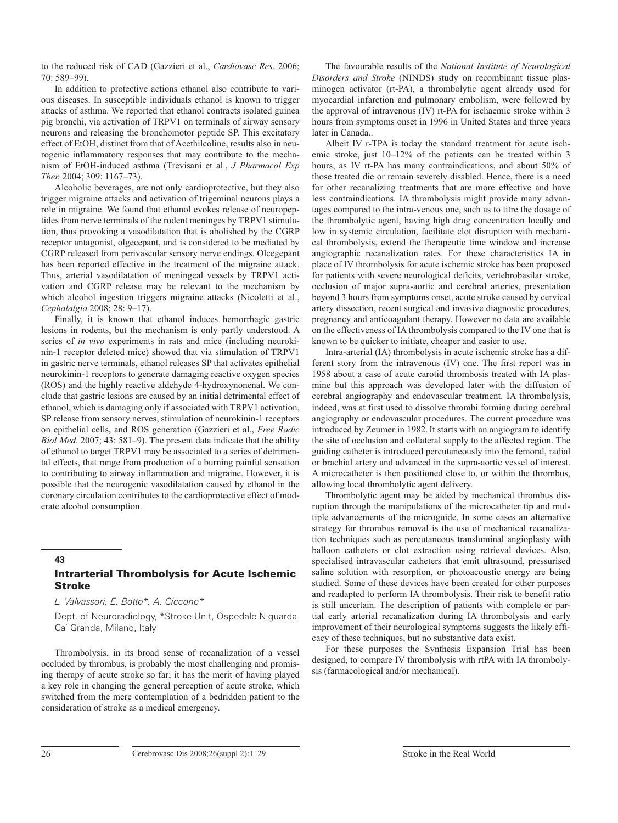to the reduced risk of CAD (Gazzieri et al., *Cardiovasc Res.* 2006; 70: 589–99).

In addition to protective actions ethanol also contribute to various diseases. In susceptible individuals ethanol is known to trigger attacks of asthma. We reported that ethanol contracts isolated guinea pig bronchi, via activation of TRPV1 on terminals of airway sensory neurons and releasing the bronchomotor peptide SP. This excitatory effect of EtOH, distinct from that of Acethilcoline, results also in neurogenic inflammatory responses that may contribute to the mechanism of EtOH-induced asthma (Trevisani et al., *J Pharmacol Exp Ther.* 2004; 309: 1167–73).

Alcoholic beverages, are not only cardioprotective, but they also trigger migraine attacks and activation of trigeminal neurons plays a role in migraine. We found that ethanol evokes release of neuropeptides from nerve terminals of the rodent meninges by TRPV1 stimulation, thus provoking a vasodilatation that is abolished by the CGRP receptor antagonist, olgecepant, and is considered to be mediated by CGRP released from perivascular sensory nerve endings. Olcegepant has been reported effective in the treatment of the migraine attack. Thus, arterial vasodilatation of meningeal vessels by TRPV1 activation and CGRP release may be relevant to the mechanism by which alcohol ingestion triggers migraine attacks (Nicoletti et al., *Cephalalgia* 2008; 28: 9–17).

Finally, it is known that ethanol induces hemorrhagic gastric lesions in rodents, but the mechanism is only partly understood. A series of *in vivo* experiments in rats and mice (including neurokinin-1 receptor deleted mice) showed that via stimulation of TRPV1 in gastric nerve terminals, ethanol releases SP that activates epithelial neurokinin-1 receptors to generate damaging reactive oxygen species (ROS) and the highly reactive aldehyde 4-hydroxynonenal. We conclude that gastric lesions are caused by an initial detrimental effect of ethanol, which is damaging only if associated with TRPV1 activation, SP release from sensory nerves, stimulation of neurokinin-1 receptors on epithelial cells, and ROS generation (Gazzieri et al., *Free Radic Biol Med*. 2007; 43: 581–9). The present data indicate that the ability of ethanol to target TRPV1 may be associated to a series of detrimental effects, that range from production of a burning painful sensation to contributing to airway inflammation and migraine. However, it is possible that the neurogenic vasodilatation caused by ethanol in the coronary circulation contributes to the cardioprotective effect of moderate alcohol consumption.

## **43** Intrarterial Thrombolysis for Acute Ischemic Stroke

*L. Valvassori, E. Botto\*, A. Ciccone\**

Dept. of Neuroradiology, \*Stroke Unit, Ospedale Niguarda Ca' Granda, Milano, Italy

Thrombolysis, in its broad sense of recanalization of a vessel occluded by thrombus, is probably the most challenging and promising therapy of acute stroke so far; it has the merit of having played a key role in changing the general perception of acute stroke, which switched from the mere contemplation of a bedridden patient to the consideration of stroke as a medical emergency.

The favourable results of the *National Institute of Neurological Disorders and Stroke* (NINDS) study on recombinant tissue plasminogen activator (rt-PA), a thrombolytic agent already used for myocardial infarction and pulmonary embolism, were followed by the approval of intravenous (IV) rt-PA for ischaemic stroke within 3 hours from symptoms onset in 1996 in United States and three years later in Canada..

Albeit IV r-TPA is today the standard treatment for acute ischemic stroke, just 10–12% of the patients can be treated within 3 hours, as IV rt-PA has many contraindications, and about 50% of those treated die or remain severely disabled. Hence, there is a need for other recanalizing treatments that are more effective and have less contraindications. IA thrombolysis might provide many advantages compared to the intra-venous one, such as to titre the dosage of the thrombolytic agent, having high drug concentration locally and low in systemic circulation, facilitate clot disruption with mechanical thrombolysis, extend the therapeutic time window and increase angiographic recanalization rates. For these characteristics IA in place of IV thrombolysis for acute ischemic stroke has been proposed for patients with severe neurological deficits, vertebrobasilar stroke, occlusion of major supra-aortic and cerebral arteries, presentation beyond 3 hours from symptoms onset, acute stroke caused by cervical artery dissection, recent surgical and invasive diagnostic procedures, pregnancy and anticoagulant therapy. However no data are available on the effectiveness of IA thrombolysis compared to the IV one that is known to be quicker to initiate, cheaper and easier to use.

Intra-arterial (IA) thrombolysis in acute ischemic stroke has a different story from the intravenous (IV) one. The first report was in 1958 about a case of acute carotid thrombosis treated with IA plasmine but this approach was developed later with the diffusion of cerebral angiography and endovascular treatment. IA thrombolysis, indeed, was at first used to dissolve thrombi forming during cerebral angiography or endovascular procedures. The current procedure was introduced by Zeumer in 1982.It starts with an angiogram to identify the site of occlusion and collateral supply to the affected region. The guiding catheter is introduced percutaneously into the femoral, radial or brachial artery and advanced in the supra-aortic vessel of interest. A microcatheter is then positioned close to, or within the thrombus, allowing local thrombolytic agent delivery.

Thrombolytic agent may be aided by mechanical thrombus disruption through the manipulations of the microcatheter tip and multiple advancements of the microguide. In some cases an alternative strategy for thrombus removal is the use of mechanical recanalization techniques such as percutaneous transluminal angioplasty with balloon catheters or clot extraction using retrieval devices. Also, specialised intravascular catheters that emit ultrasound, pressurised saline solution with resorption, or photoacoustic energy are being studied. Some of these devices have been created for other purposes and readapted to perform IA thrombolysis. Their risk to benefit ratio is still uncertain. The description of patients with complete or partial early arterial recanalization during IA thrombolysis and early improvement of their neurological symptoms suggests the likely efficacy of these techniques, but no substantive data exist.

For these purposes the Synthesis Expansion Trial has been designed, to compare IV thrombolysis with rtPA with IA thrombolysis (farmacological and/or mechanical).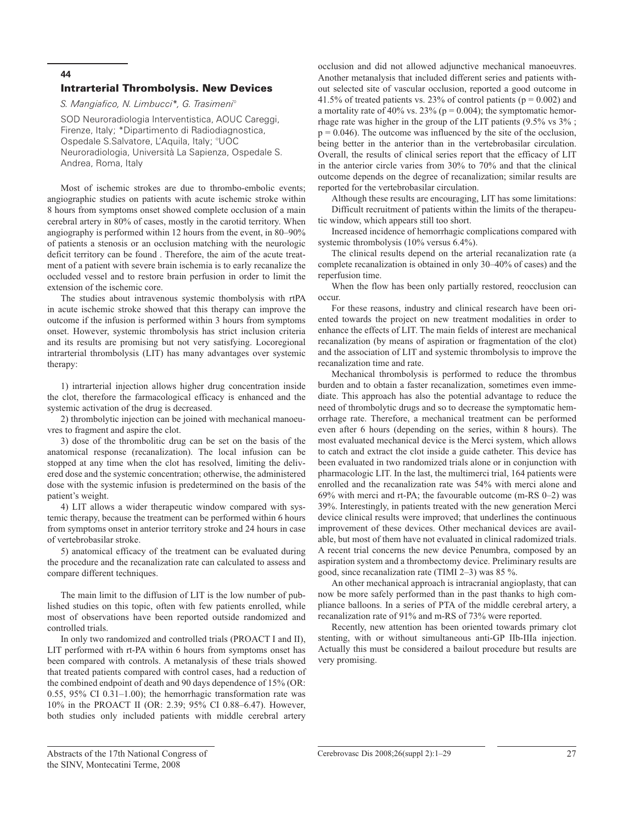#### Intrarterial Thrombolysis. New Devices

*S. Mangiafico, N. Limbucci\*, G. Trasimeni°*

SOD Neuroradiologia Interventistica, AOUC Careggi, Firenze, Italy; \*Dipartimento di Radiodiagnostica, Ospedale S.Salvatore, L'Aquila, Italy; °UOC Neuroradiologia, Università La Sapienza, Ospedale S. Andrea, Roma, Italy

Most of ischemic strokes are due to thrombo-embolic events; angiographic studies on patients with acute ischemic stroke within 8 hours from symptoms onset showed complete occlusion of a main cerebral artery in 80% of cases, mostly in the carotid territory. When angiography is performed within 12 hours from the event, in 80–90% of patients a stenosis or an occlusion matching with the neurologic deficit territory can be found . Therefore, the aim of the acute treatment of a patient with severe brain ischemia is to early recanalize the occluded vessel and to restore brain perfusion in order to limit the extension of the ischemic core.

The studies about intravenous systemic thombolysis with rtPA in acute ischemic stroke showed that this therapy can improve the outcome if the infusion is performed within 3 hours from symptoms onset. However, systemic thrombolysis has strict inclusion criteria and its results are promising but not very satisfying. Locoregional intrarterial thrombolysis (LIT) has many advantages over systemic therapy:

1) intrarterial injection allows higher drug concentration inside the clot, therefore the farmacological efficacy is enhanced and the systemic activation of the drug is decreased.

2) thrombolytic injection can be joined with mechanical manoeuvres to fragment and aspire the clot.

3) dose of the thrombolitic drug can be set on the basis of the anatomical response (recanalization). The local infusion can be stopped at any time when the clot has resolved, limiting the delivered dose and the systemic concentration; otherwise, the administered dose with the systemic infusion is predetermined on the basis of the patient's weight.

4) LIT allows a wider therapeutic window compared with systemic therapy, because the treatment can be performed within 6 hours from symptoms onset in anterior territory stroke and 24 hours in case of vertebrobasilar stroke.

5) anatomical efficacy of the treatment can be evaluated during the procedure and the recanalization rate can calculated to assess and compare different techniques.

The main limit to the diffusion of LIT is the low number of published studies on this topic, often with few patients enrolled, while most of observations have been reported outside randomized and controlled trials.

In only two randomized and controlled trials (PROACT I and II), LIT performed with rt-PA within 6 hours from symptoms onset has been compared with controls. A metanalysis of these trials showed that treated patients compared with control cases, had a reduction of the combined endpoint of death and 90 days dependence of 15% (OR: 0.55, 95% CI 0.31–1.00); the hemorrhagic transformation rate was 10% in the PROACT II (OR: 2.39; 95% CI 0.88–6.47). However, both studies only included patients with middle cerebral artery

occlusion and did not allowed adjunctive mechanical manoeuvres. Another metanalysis that included different series and patients without selected site of vascular occlusion, reported a good outcome in 41.5% of treated patients vs. 23% of control patients ( $p = 0.002$ ) and a mortality rate of 40% vs. 23% ( $p = 0.004$ ); the symptomatic hemorrhage rate was higher in the group of the LIT patients (9.5% vs 3% ;  $p = 0.046$ ). The outcome was influenced by the site of the occlusion, being better in the anterior than in the vertebrobasilar circulation. Overall, the results of clinical series report that the efficacy of LIT in the anterior circle varies from 30% to 70% and that the clinical outcome depends on the degree of recanalization; similar results are reported for the vertebrobasilar circulation.

Although these results are encouraging, LIT has some limitations: Difficult recruitment of patients within the limits of the therapeutic window, which appears still too short.

Increased incidence of hemorrhagic complications compared with systemic thrombolysis (10% versus 6.4%).

The clinical results depend on the arterial recanalization rate (a complete recanalization is obtained in only 30–40% of cases) and the reperfusion time.

When the flow has been only partially restored, reocclusion can occur.

For these reasons, industry and clinical research have been oriented towards the project on new treatment modalities in order to enhance the effects of LIT. The main fields of interest are mechanical recanalization (by means of aspiration or fragmentation of the clot) and the association of LIT and systemic thrombolysis to improve the recanalization time and rate.

Mechanical thrombolysis is performed to reduce the thrombus burden and to obtain a faster recanalization, sometimes even immediate. This approach has also the potential advantage to reduce the need of thrombolytic drugs and so to decrease the symptomatic hemorrhage rate. Therefore, a mechanical treatment can be performed even after 6 hours (depending on the series, within 8 hours). The most evaluated mechanical device is the Merci system, which allows to catch and extract the clot inside a guide catheter. This device has been evaluated in two randomized trials alone or in conjunction with pharmacologic LIT. In the last, the multimerci trial, 164 patients were enrolled and the recanalization rate was 54% with merci alone and 69% with merci and rt-PA; the favourable outcome (m-RS 0–2) was 39%. Interestingly, in patients treated with the new generation Merci device clinical results were improved; that underlines the continuous improvement of these devices. Other mechanical devices are available, but most of them have not evaluated in clinical radomized trials. A recent trial concerns the new device Penumbra, composed by an aspiration system and a thrombectomy device. Preliminary results are good, since recanalization rate (TIMI 2–3) was 85 %.

An other mechanical approach is intracranial angioplasty, that can now be more safely performed than in the past thanks to high compliance balloons. In a series of PTA of the middle cerebral artery, a recanalization rate of 91% and m-RS of 73% were reported.

Recently, new attention has been oriented towards primary clot stenting, with or without simultaneous anti-GP IIb-IIIa injection. Actually this must be considered a bailout procedure but results are very promising.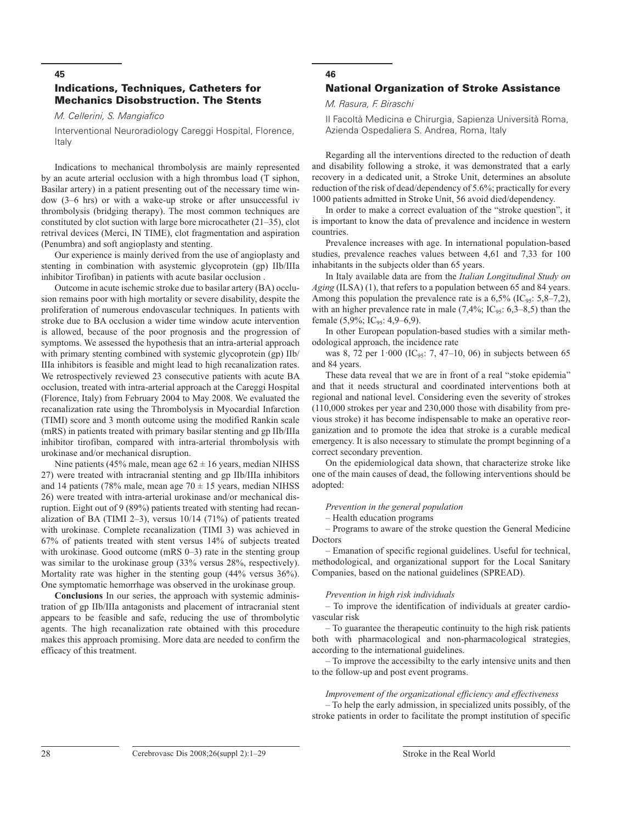## Indications, Techniques, Catheters for Mechanics Disobstruction. The Stents

*M. Cellerini, S. Mangiafico*

Interventional Neuroradiology Careggi Hospital, Florence, Italy

Indications to mechanical thrombolysis are mainly represented by an acute arterial occlusion with a high thrombus load (T siphon, Basilar artery) in a patient presenting out of the necessary time window (3–6 hrs) or with a wake-up stroke or after unsuccessful iv thrombolysis (bridging therapy). The most common techniques are constituted by clot suction with large bore microcatheter (21–35), clot retrival devices (Merci, IN TIME), clot fragmentation and aspiration (Penumbra) and soft angioplasty and stenting.

Our experience is mainly derived from the use of angioplasty and stenting in combination with asystemic glycoprotein (gp) IIb/IIIa inhibitor Tirofiban) in patients with acute basilar occlusion .

Outcome in acute ischemic stroke due to basilar artery (BA) occlusion remains poor with high mortality or severe disability, despite the proliferation of numerous endovascular techniques. In patients with stroke due to BA occlusion a wider time window acute intervention is allowed, because of the poor prognosis and the progression of symptoms. We assessed the hypothesis that an intra-arterial approach with primary stenting combined with systemic glycoprotein (gp) IIb/ IIIa inhibitors is feasible and might lead to high recanalization rates. We retrospectively reviewed 23 consecutive patients with acute BA occlusion, treated with intra-arterial approach at the Careggi Hospital (Florence, Italy) from February 2004 to May 2008. We evaluated the recanalization rate using the Thrombolysis in Myocardial Infarction (TIMI) score and 3 month outcome using the modified Rankin scale (mRS) in patients treated with primary basilar stenting and gp IIb/IIIa inhibitor tirofiban, compared with intra-arterial thrombolysis with urokinase and/or mechanical disruption.

Nine patients (45% male, mean age  $62 \pm 16$  years, median NIHSS 27) were treated with intracranial stenting and gp IIb/IIIa inhibitors and 14 patients (78% male, mean age  $70 \pm 15$  years, median NIHSS 26) were treated with intra-arterial urokinase and/or mechanical disruption. Eight out of 9 (89%) patients treated with stenting had recanalization of BA (TIMI 2–3), versus 10/14 (71%) of patients treated with urokinase. Complete recanalization (TIMI 3) was achieved in 67% of patients treated with stent versus 14% of subjects treated with urokinase. Good outcome (mRS 0–3) rate in the stenting group was similar to the urokinase group (33% versus 28%, respectively). Mortality rate was higher in the stenting goup (44% versus 36%). One symptomatic hemorrhage was observed in the urokinase group.

**Conclusions** In our series, the approach with systemic administration of gp IIb/IIIa antagonists and placement of intracranial stent appears to be feasible and safe, reducing the use of thrombolytic agents. The high recanalization rate obtained with this procedure makes this approach promising. More data are needed to confirm the efficacy of this treatment.

## **46** National Organization of Stroke Assistance

#### *M. Rasura, F. Biraschi*

II Facoltà Medicina e Chirurgia, Sapienza Università Roma, Azienda Ospedaliera S. Andrea, Roma, Italy

Regarding all the interventions directed to the reduction of death and disability following a stroke, it was demonstrated that a early recovery in a dedicated unit, a Stroke Unit, determines an absolute reduction of the risk of dead/dependency of 5.6%; practically for every 1000 patients admitted in Stroke Unit, 56 avoid died/dependency.

In order to make a correct evaluation of the "stroke question", it is important to know the data of prevalence and incidence in western countries.

Prevalence increases with age. In international population-based studies, prevalence reaches values between 4,61 and 7,33 for 100 inhabitants in the subjects older than 65 years.

In Italy available data are from the *Italian Longitudinal Study on Aging* (ILSA) (1), that refers to a population between 65 and 84 years. Among this population the prevalence rate is a  $6,5\%$  (IC<sub>95</sub>: 5,8–7,2), with an higher prevalence rate in male  $(7,4\%; IC_{95}: 6,3-8,5)$  than the female (5,9%; IC<sub>95</sub>: 4,9–6,9).

In other European population-based studies with a similar methodological approach, the incidence rate

was 8, 72 per  $1.000$  (IC<sub>95</sub>: 7, 47–10, 06) in subjects between 65 and 84 years.

These data reveal that we are in front of a real "stoke epidemia" and that it needs structural and coordinated interventions both at regional and national level. Considering even the severity of strokes (110,000 strokes per year and 230,000 those with disability from previous stroke) it has become indispensable to make an operative reorganization and to promote the idea that stroke is a curable medical emergency. It is also necessary to stimulate the prompt beginning of a correct secondary prevention.

On the epidemiological data shown, that characterize stroke like one of the main causes of dead, the following interventions should be adopted:

#### *Prevention in the general population*

– Health education programs

– Programs to aware of the stroke question the General Medicine Doctors

– Emanation of specific regional guidelines. Useful for technical, methodological, and organizational support for the Local Sanitary Companies, based on the national guidelines (SPREAD).

#### *Prevention in high risk individuals*

– To improve the identification of individuals at greater cardiovascular risk

– To guarantee the therapeutic continuity to the high risk patients both with pharmacological and non-pharmacological strategies, according to the international guidelines.

– To improve the accessibilty to the early intensive units and then to the follow-up and post event programs.

#### *Improvement of the organizational efficiency and effectiveness*

– To help the early admission, in specialized units possibly, of the stroke patients in order to facilitate the prompt institution of specific